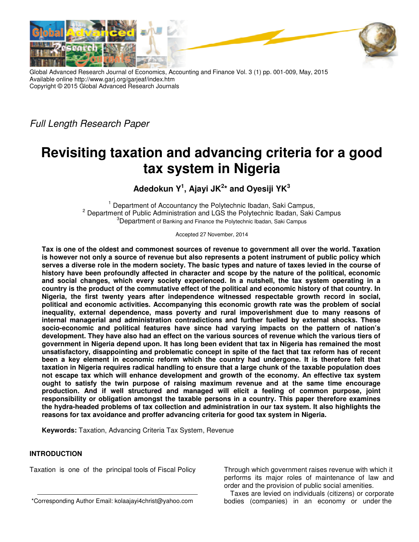



Full Length Research Paper

# **Revisiting taxation and advancing criteria for a good tax system in Nigeria**

**Adedokun Y<sup>1</sup> , Ajayi JK<sup>2</sup> \* and Oyesiji YK<sup>3</sup>**

 $1$  Department of Accountancy the Polytechnic Ibadan, Saki Campus, <sup>2</sup> Department of Public Administration and LGS the Polytechnic Ibadan, Saki Campus <sup>3</sup>Department of Banking and Finance the Polytechnic Ibadan, Saki Campus

Accepted 27 November, 2014

**Tax is one of the oldest and commonest sources of revenue to government all over the world. Taxation is however not only a source of revenue but also represents a potent instrument of public policy which serves a diverse role in the modern society. The basic types and nature of taxes levied in the course of history have been profoundly affected in character and scope by the nature of the political, economic and social changes, which every society experienced. In a nutshell, the tax system operating in a country is the product of the commutative effect of the political and economic history of that country. In Nigeria, the first twenty years after independence witnessed respectable growth record in social, political and economic activities. Accompanying this economic growth rate was the problem of social inequality, external dependence, mass poverty and rural impoverishment due to many reasons of internal managerial and administration contradictions and further fuelled by external shocks. These socio-economic and political features have since had varying impacts on the pattern of nation's development. They have also had an effect on the various sources of revenue which the various tiers of government in Nigeria depend upon. It has long been evident that tax in Nigeria has remained the most unsatisfactory, disappointing and problematic concept in spite of the fact that tax reform has of recent been a key element in economic reform which the country had undergone. It is therefore felt that taxation in Nigeria requires radical handling to ensure that a large chunk of the taxable population does not escape tax which will enhance development and growth of the economy. An effective tax system ought to satisfy the twin purpose of raising maximum revenue and at the same time encourage production. And if well structured and managed will elicit a feeling of common purpose, joint responsibility or obligation amongst the taxable persons in a country. This paper therefore examines the hydra-headed problems of tax collection and administration in our tax system. It also highlights the reasons for tax avoidance and proffer advancing criteria for good tax system in Nigeria.** 

**Keywords:** Taxation, Advancing Criteria Tax System, Revenue

# **INTRODUCTION**

Taxation is one of the principal tools of Fiscal Policy

Through which government raises revenue with which it performs its major roles of maintenance of law and order and the provision of public social amenities.

Taxes are levied on individuals (citizens) or corporate bodies (companies) in an economy or under the

<sup>\*</sup>Corresponding Author Email: kolaajayi4christ@yahoo.com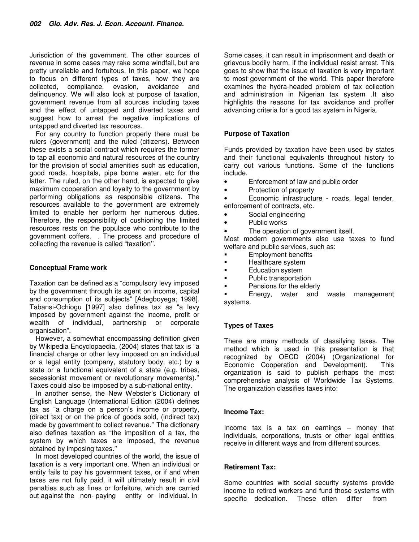Jurisdiction of the government. The other sources of revenue in some cases may rake some windfall, but are pretty unreliable and fortuitous. In this paper, we hope to focus on different types of taxes, how they are collected, compliance, evasion, avoidance and delinquency. We will also look at purpose of taxation, government revenue from all sources including taxes and the effect of untapped and diverted taxes and suggest how to arrest the negative implications of untapped and diverted tax resources.

For any country to function properly there must be rulers (government) and the ruled (citizens). Between these exists a social contract which requires the former to tap all economic and natural resources of the country for the provision of social amenities such as education, good roads, hospitals, pipe borne water, etc for the latter. The ruled, on the other hand, is expected to give maximum cooperation and loyalty to the government by performing obligations as responsible citizens. The resources available to the government are extremely limited to enable her perform her numerous duties. Therefore, the responsibility of cushioning the limited resources rests on the populace who contribute to the government coffers. . The process and procedure of collecting the revenue is called "taxation''.

# **Conceptual Frame work**

Taxation can be defined as a "compulsory levy imposed by the government through its agent on income, capital and consumption of its subjects" [Adegboyega; 1998]. Tabansi-Ochiogu [1997] also defines tax as "a levy imposed by government against the income, profit or wealth of individual, partnership or corporate organisation".

However, a somewhat encompassing definition given by Wikipedia Encyclopaedia, (2004) states that tax is "a financial charge or other levy imposed on an individual or a legal entity (company, statutory body, etc.) by a state or a functional equivalent of a state (e.g. tribes, secessionist movement or revolutionary movements).'' Taxes could also be imposed by a sub-national entity.

In another sense, the New Webster's Dictionary of English Language (International Edition (2004) defines tax as "a charge on a person's income or property, (direct tax) or on the price of goods sold, (indirect tax) made by government to collect revenue.'' The dictionary also defines taxation as "the imposition of a tax, the system by which taxes are imposed, the revenue obtained by imposing taxes.''

In most developed countries of the world, the issue of taxation is a very important one. When an individual or entity fails to pay his government taxes, or if and when taxes are not fully paid, it will ultimately result in civil penalties such as fines or forfeiture, which are carried out against the non- paying entity or individual. In

Some cases, it can result in imprisonment and death or grievous bodily harm, if the individual resist arrest. This goes to show that the issue of taxation is very important to most government of the world. This paper therefore examines the hydra-headed problem of tax collection and administration in Nigerian tax system .It also highlights the reasons for tax avoidance and proffer advancing criteria for a good tax system in Nigeria.

## **Purpose of Taxation**

Funds provided by taxation have been used by states and their functional equivalents throughout history to carry out various functions. Some of the functions include.

- Enforcement of law and public order
- Protection of property

• Economic infrastructure - roads, legal tender, enforcement of contracts, etc.

- Social engineering
- Public works
- The operation of government itself.

Most modern governments also use taxes to fund welfare and public services, such as:

- **Employment benefits**
- **Healthcare system**
- **Education system**
- Public transportation
- Pensions for the elderly

 Energy, water and waste management systems.

### **Types of Taxes**

There are many methods of classifying taxes. The method which is used in this presentation is that recognized by OECD (2004) (Organizational for Economic Cooperation and Development). organization is said to publish perhaps the most comprehensive analysis of Worldwide Tax Systems. The organization classifies taxes into:

### **Income Tax:**

Income tax is a tax on earnings – money that individuals, corporations, trusts or other legal entities receive in different ways and from different sources.

## **Retirement Tax:**

Some countries with social security systems provide income to retired workers and fund those systems with specific dedication. These often differ from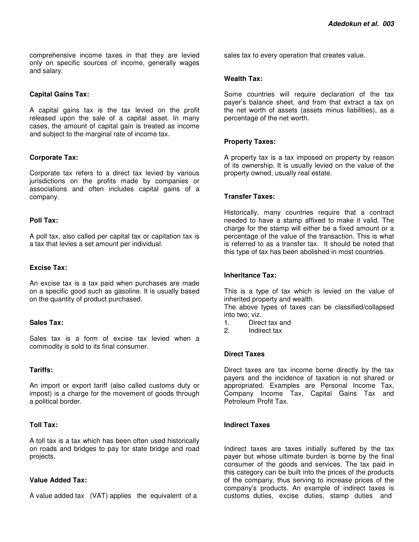comprehensive income taxes in that they are levied only on specific sources of income, generally wages and salary.

## **Capital Gains Tax:**

A capital gains tax is the tax levied on the profit released upon the sale of a capital asset. In many cases, the amount of capital gain is treated as income and subject to the marginal rate of income tax.

## **Corporate Tax:**

Corporate tax refers to a direct tax levied by various jurisdictions on the profits made by companies or associations and often includes capital gains of a company.

## **Poll Tax:**

A poll tax, also called per capital tax or capitation tax is a tax that levies a set amount per individual.

## **Excise Tax:**

An excise tax is a tax paid when purchases are made on a specific good such as gasoline. It is usually based on the quantity of product purchased.

### **Sales Tax:**

Sales tax is a form of excise tax levied when a commodity is sold to its final consumer.

## **Tariffs:**

An import or export tariff (also called customs duty or impost) is a charge for the movement of goods through a political border.

# **Toll Tax:**

A toll tax is a tax which has been often used historically on roads and bridges to pay for state bridge and road projects.

### **Value Added Tax:**

A value added tax (VAT) applies the equivalent of a

sales tax to every operation that creates value.

## **Wealth Tax:**

Some countries will require declaration of the tax payer's balance sheet, and from that extract a tax on the net worth of assets (assets minus liabilities), as a percentage of the net worth.

## **Property Taxes:**

A property tax is a tax imposed on property by reason of its ownership. It is usually levied on the value of the property owned, usually real estate.

## **Transfer Taxes:**

Historically, many countries require that a contract needed to have a stamp affixed to make it valid. The charge for the stamp will either be a fixed amount or a percentage of the value of the transaction. This is what is referred to as a transfer tax. It should be noted that this type of tax has been abolished in most countries.

# **Inheritance Tax:**

This is a type of tax which is levied on the value of inherited property and wealth.

The above types of taxes can be classified/collapsed into two; viz.

- 1. Direct tax and
- 2. Indirect tax

### **Direct Taxes**

Direct taxes are tax income borne directly by the tax payers and the incidence of taxation is not shared or appropriated. Examples are Personal Income Tax, Company Income Tax, Capital Gains Tax and Petroleum Profit Tax.

### **Indirect Taxes**

Indirect taxes are taxes initially suffered by the tax payer but whose ultimate burden is borne by the final consumer of the goods and services. The tax paid in this category can be built into the prices of the products of the company, thus serving to increase prices of the company's products. An example of indirect taxes is customs duties, excise duties, stamp duties and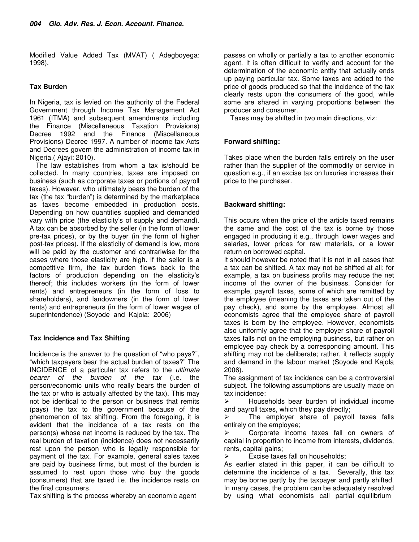Modified Value Added Tax (MVAT) ( Adegboyega: 1998).

# **Tax Burden**

In Nigeria, tax is levied on the authority of the Federal Government through Income Tax Management Act 1961 (ITMA) and subsequent amendments including the Finance (Miscellaneous Taxation Provisions) Decree 1992 and the Finance (Miscellaneous Provisions) Decree 1997. A number of income tax Acts and Decrees govern the administration of income tax in Nigeria.( Ajayi: 2010).

The law establishes from whom a tax is/should be collected. In many countries, taxes are imposed on business (such as corporate taxes or portions of payroll taxes). However, who ultimately bears the burden of the tax (the tax "burden") is determined by the marketplace as taxes become embedded in production costs. Depending on how quantities supplied and demanded vary with price (the elasticity's of supply and demand). A tax can be absorbed by the seller (in the form of lower pre-tax prices), or by the buyer (in the form of higher post-tax prices). If the elasticity of demand is low, more will be paid by the customer and contrariwise for the cases where those elasticity are high. If the seller is a competitive firm, the tax burden flows back to the factors of production depending on the elasticity's thereof; this includes workers (in the form of lower rents) and entrepreneurs (in the form of loss to shareholders), and landowners (in the form of lower rents) and entrepreneurs (in the form of lower wages of superintendence) (Soyode and Kajola: 2006)

# **Tax Incidence and Tax Shifting**

Incidence is the answer to the question of "who pays?", "which taxpayers bear the actual burden of taxes?" The INCIDENCE of a particular tax refers to the ultimate bearer of the burden of the tax (i.e. the person/economic units who really bears the burden of the tax or who is actually affected by the tax). This may not be identical to the person or business that remits (pays) the tax to the government because of the phenomenon of tax shifting. From the foregoing, it is evident that the incidence of a tax rests on the person(s) whose net income is reduced by the tax. The real burden of taxation (incidence) does not necessarily rest upon the person who is legally responsible for payment of the tax. For example, general sales taxes are paid by business firms, but most of the burden is assumed to rest upon those who buy the goods (consumers) that are taxed i.e. the incidence rests on the final consumers.

Tax shifting is the process whereby an economic agent

passes on wholly or partially a tax to another economic agent. It is often difficult to verify and account for the determination of the economic entity that actually ends up paying particular tax. Some taxes are added to the price of goods produced so that the incidence of the tax clearly rests upon the consumers of the good, while some are shared in varying proportions between the producer and consumer.

Taxes may be shifted in two main directions, viz:

# **Forward shifting:**

Takes place when the burden falls entirely on the user rather than the supplier of the commodity or service in question e.g., if an excise tax on luxuries increases their price to the purchaser.

# **Backward shifting:**

This occurs when the price of the article taxed remains the same and the cost of the tax is borne by those engaged in producing it e.g., through lower wages and salaries, lower prices for raw materials, or a lower return on borrowed capital.

It should however be noted that it is not in all cases that a tax can be shifted. A tax may not be shifted at all; for example, a tax on business profits may reduce the net income of the owner of the business. Consider for example, payroll taxes, some of which are remitted by the employee (meaning the taxes are taken out of the pay check), and some by the employee. Almost all economists agree that the employee share of payroll taxes is born by the employee. However, economists also uniformly agree that the employer share of payroll taxes falls not on the employing business, but rather on employee pay check by a corresponding amount. This shifting may not be deliberate; rather, it reflects supply and demand in the labour market (Soyode and Kajola 2006).

The assignment of tax incidence can be a controversial subject. The following assumptions are usually made on tax incidence:

 $\blacktriangleright$  Households bear burden of individual income and payroll taxes, which they pay directly;

 $\triangleright$  The employer share of payroll taxes falls entirely on the employee;

 $\blacktriangleright$  Corporate income taxes fall on owners of capital in proportion to income from interests, dividends, rents, capital gains;

 $\blacktriangleright$ Excise taxes fall on households;

As earlier stated in this paper, it can be difficult to determine the incidence of a tax. Severally, this tax may be borne partly by the taxpayer and partly shifted. In many cases, the problem can be adequately resolved by using what economists call partial equilibrium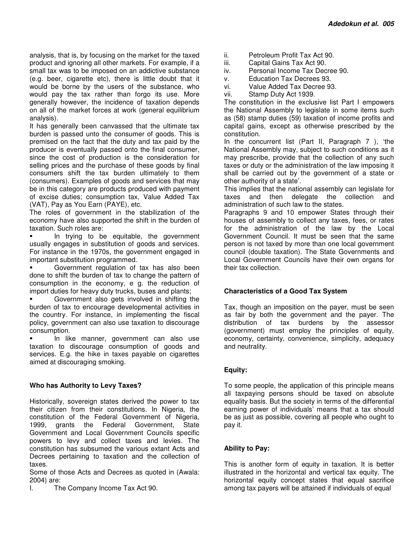analysis, that is, by focusing on the market for the taxed product and ignoring all other markets. For example, if a small tax was to be imposed on an addictive substance (e.g. beer, cigarette etc), there is little doubt that it would be borne by the users of the substance, who would pay the tax rather than forgo its use. More generally however, the incidence of taxation depends on all of the market forces at work (general equilibrium analysis).

It has generally been canvassed that the ultimate tax burden is passed unto the consumer of goods. This is premised on the fact that the duty and tax paid by the producer is eventually passed onto the final consumer, since the cost of production is the consideration for selling prices and the purchase of these goods by final consumers shift the tax burden ultimately to them (consumers). Examples of goods and services that may be in this category are products produced with payment of excise duties; consumption tax, Value Added Tax (VAT), Pay as You Earn (PAYE), etc.

The roles of government in the stabilization of the economy have also supported the shift in the burden of taxation. Such roles are:

**In trying to be equitable, the government** usually engages in substitution of goods and services. For instance in the 1970s, the government engaged in important substitution programmed.

 Government regulation of tax has also been done to shift the burden of tax to change the pattern of consumption in the economy, e g. the reduction of import duties for heavy duty trucks, buses and plants;

 Government also gets involved in shifting the burden of tax to encourage developmental activities in the country. For instance, in implementing the fiscal policy, government can also use taxation to discourage consumption.

 In like manner, government can also use taxation to discourage consumption of goods and services. E.g. the hike in taxes payable on cigarettes aimed at discouraging smoking.

# **Who has Authority to Levy Taxes?**

Historically, sovereign states derived the power to tax their citizen from their constitutions. In Nigeria, the constitution of the Federal Government of Nigeria, 1999, grants the Federal Government, State Government and Local Government Councils specific powers to levy and collect taxes and levies. The constitution has subsumed the various extant Acts and Decrees pertaining to taxation and the collection of taxes.

Some of those Acts and Decrees as quoted in (Awala: 2004) are:

I. The Company Income Tax Act 90.

- ii. Petroleum Profit Tax Act 90.
- iii. Capital Gains Tax Act 90.
- iv. Personal Income Tax Decree 90.
- v. Education Tax Decrees 93.
- vi. Value Added Tax Decree 93.
- vii. Stamp Duty Act 1939.

The constitution in the exclusive list Part I empowers the National Assembly to legislate in some items such as (58) stamp duties (59) taxation of income profits and capital gains, except as otherwise prescribed by the constitution.

In the concurrent list (Part II, Paragraph 7 ), 'the National Assembly may, subject to such conditions as it may prescribe, provide that the collection of any such taxes or duty or the administration of the law imposing it shall be carried out by the government of a state or other authority of a state'.

This implies that the national assembly can legislate for taxes and then delegate the collection and administration of such law to the states.

Paragraphs 9 and 10 empower States through their houses of assembly to collect any taxes, fees, or rates for the administration of the law by the Local Government Council. It must be seen that the same person is not taxed by more than one local government council (double taxation). The State Governments and Local Government Councils have their own organs for their tax collection.

### **Characteristics of a Good Tax System**

Tax, though an imposition on the payer, must be seen as fair by both the government and the payer. The distribution of tax burdens by the assessor (government) must employ the principles of equity, economy, certainty, convenience, simplicity, adequacy and neutrality.

### **Equity:**

To some people, the application of this principle means all taxpaying persons should be taxed on absolute equality basis. But the society in terms of the differential earning power of individuals' means that a tax should be as just as possible, covering all people who ought to pay it.

### **Ability to Pay:**

This is another form of equity in taxation. It is better illustrated in the horizontal and vertical tax equity. The horizontal equity concept states that equal sacrifice among tax payers will be attained if individuals of equal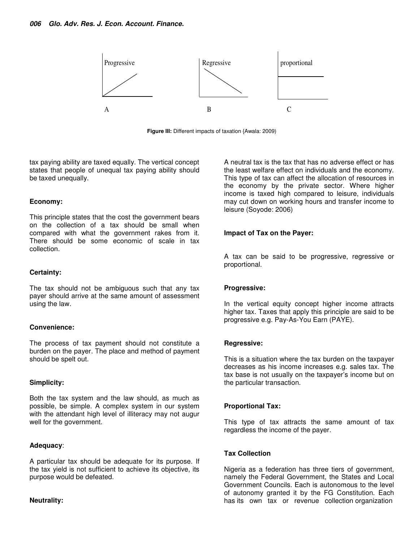

**Figure III:** Different impacts of taxation {Awala: 2009)

tax paying ability are taxed equally. The vertical concept states that people of unequal tax paying ability should be taxed unequally.

#### **Economy:**

This principle states that the cost the government bears on the collection of a tax should be small when compared with what the government rakes from it. There should be some economic of scale in tax collection.

#### **Certainty:**

The tax should not be ambiguous such that any tax payer should arrive at the same amount of assessment using the law.

### **Convenience:**

The process of tax payment should not constitute a burden on the payer. The place and method of payment should be spelt out.

### **Simplicity:**

Both the tax system and the law should, as much as possible, be simple. A complex system in our system with the attendant high level of illiteracy may not augur well for the government.

#### **Adequacy**:

A particular tax should be adequate for its purpose. If the tax yield is not sufficient to achieve its objective, its purpose would be defeated.

### **Neutrality:**

A neutral tax is the tax that has no adverse effect or has the least welfare effect on individuals and the economy. This type of tax can affect the allocation of resources in the economy by the private sector. Where higher income is taxed high compared to leisure, individuals may cut down on working hours and transfer income to leisure (Soyode: 2006)

#### **Impact of Tax on the Payer:**

A tax can be said to be progressive, regressive or proportional.

#### **Progressive:**

In the vertical equity concept higher income attracts higher tax. Taxes that apply this principle are said to be progressive e.g. Pay-As-You Earn (PAYE).

#### **Regressive:**

This is a situation where the tax burden on the taxpayer decreases as his income increases e.g. sales tax. The tax base is not usually on the taxpayer's income but on the particular transaction.

### **Proportional Tax:**

This type of tax attracts the same amount of tax regardless the income of the payer.

#### **Tax Collection**

Nigeria as a federation has three tiers of government, namely the Federal Government, the States and Local Government Councils. Each is autonomous to the level of autonomy granted it by the FG Constitution. Each has its own tax or revenue collection organization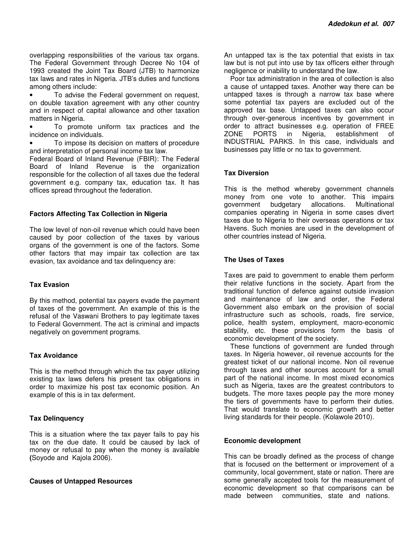overlapping responsibilities of the various tax organs. The Federal Government through Decree No 104 of 1993 created the Joint Tax Board (JTB) to harmonize tax laws and rates in Nigeria. JTB's duties and functions among others include:

• To advise the Federal government on request, on double taxation agreement with any other country and in respect of capital allowance and other taxation matters in Nigeria.

• To promote uniform tax practices and the incidence on individuals.

• To impose its decision on matters of procedure and interpretation of personal income tax law.

Federal Board of Inland Revenue (FBIR): The Federal Board of Inland Revenue is the organization responsible for the collection of all taxes due the federal government e.g. company tax, education tax. It has offices spread throughout the federation.

### **Factors Affecting Tax Collection in Nigeria**

The low level of non-oil revenue which could have been caused by poor collection of the taxes by various organs of the government is one of the factors. Some other factors that may impair tax collection are tax evasion, tax avoidance and tax delinquency are:

#### **Tax Evasion**

By this method, potential tax payers evade the payment of taxes of the government. An example of this is the refusal of the Vaswani Brothers to pay legitimate taxes to Federal Government. The act is criminal and impacts negatively on government programs.

# **Tax Avoidance**

This is the method through which the tax payer utilizing existing tax laws defers his present tax obligations in order to maximize his post tax economic position. An example of this is in tax deferment.

### **Tax Delinquency**

This is a situation where the tax payer fails to pay his tax on the due date. It could be caused by lack of money or refusal to pay when the money is available **(**Soyode and Kajola 2006).

#### **Causes of Untapped Resources**

An untapped tax is the tax potential that exists in tax law but is not put into use by tax officers either through negligence or inability to understand the law.

Poor tax administration in the area of collection is also a cause of untapped taxes. Another way there can be untapped taxes is through a narrow tax base where some potential tax payers are excluded out of the approved tax base. Untapped taxes can also occur through over-generous incentives by government in order to attract businesses e.g. operation of FREE ZONE PORTS in Nigeria, establishment of INDUSTRIAL PARKS. In this case, individuals and businesses pay little or no tax to government.

#### **Tax Diversion**

This is the method whereby government channels money from one vote to another. This impairs<br>dovernment budgetary allocations. Multinational government budgetary companies operating in Nigeria in some cases divert taxes due to Nigeria to their overseas operations or tax Havens. Such monies are used in the development of other countries instead of Nigeria.

#### **The Uses of Taxes**

Taxes are paid to government to enable them perform their relative functions in the society. Apart from the traditional function of defence against outside invasion and maintenance of law and order, the Federal Government also embark on the provision of social infrastructure such as schools, roads, fire service, police, health system, employment, macro-economic stability, etc. these provisions form the basis of economic development of the society.

These functions of government are funded through taxes. In Nigeria however, oil revenue accounts for the greatest ticket of our national income. Non oil revenue through taxes and other sources account for a small part of the national income. In most mixed economics such as Nigeria, taxes are the greatest contributors to budgets. The more taxes people pay the more money the tiers of governments have to perform their duties. That would translate to economic growth and better living standards for their people. (Kolawole 2010).

#### **Economic development**

This can be broadly defined as the process of change that is focused on the betterment or improvement of a community, local government, state or nation. There are some generally accepted tools for the measurement of economic development so that comparisons can be made between communities, state and nations.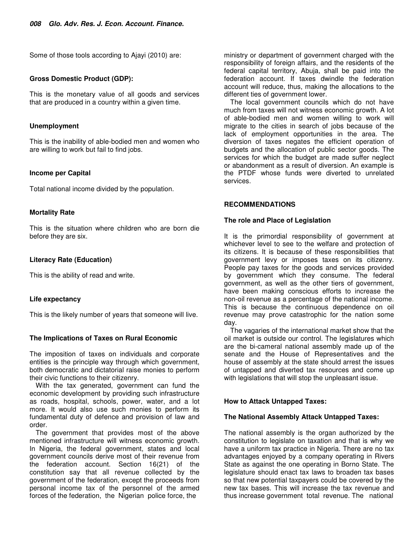Some of those tools according to Ajayi (2010) are:

## **Gross Domestic Product (GDP):**

This is the monetary value of all goods and services that are produced in a country within a given time.

## **Unemployment**

This is the inability of able-bodied men and women who are willing to work but fail to find jobs.

## **Income per Capital**

Total national income divided by the population.

# **Mortality Rate**

This is the situation where children who are born die before they are six.

# **Literacy Rate (Education)**

This is the ability of read and write.

# **Life expectancy**

This is the likely number of years that someone will live.

# **The Implications of Taxes on Rural Economic**

The imposition of taxes on individuals and corporate entities is the principle way through which government, both democratic and dictatorial raise monies to perform their civic functions to their citizenry.

With the tax generated, government can fund the economic development by providing such infrastructure as roads, hospital, schools, power, water, and a lot more. It would also use such monies to perform its fundamental duty of defence and provision of law and order.

The government that provides most of the above mentioned infrastructure will witness economic growth. In Nigeria, the federal government, states and local government councils derive most of their revenue from the federation account. Section 16(21) of the constitution say that all revenue collected by the government of the federation, except the proceeds from personal income tax of the personnel of the armed forces of the federation, the Nigerian police force, the

ministry or department of government charged with the responsibility of foreign affairs, and the residents of the federal capital territory, Abuja, shall be paid into the federation account. If taxes dwindle the federation account will reduce, thus, making the allocations to the different ties of government lower.

The local government councils which do not have much from taxes will not witness economic growth. A lot of able-bodied men and women willing to work will migrate to the cities in search of jobs because of the lack of employment opportunities in the area. The diversion of taxes negates the efficient operation of budgets and the allocation of public sector goods. The services for which the budget are made suffer neglect or abandonment as a result of diversion. An example is the PTDF whose funds were diverted to unrelated services.

## **RECOMMENDATIONS**

### **The role and Place of Legislation**

It is the primordial responsibility of government at whichever level to see to the welfare and protection of its citizens. It is because of these responsibilities that government levy or imposes taxes on its citizenry. People pay taxes for the goods and services provided by government which they consume. The federal government, as well as the other tiers of government, have been making conscious efforts to increase the non-oil revenue as a percentage of the national income. This is because the continuous dependence on oil revenue may prove catastrophic for the nation some day.

The vagaries of the international market show that the oil market is outside our control. The legislatures which are the bi-cameral national assembly made up of the senate and the House of Representatives and the house of assembly at the state should arrest the issues of untapped and diverted tax resources and come up with legislations that will stop the unpleasant issue.

# **How to Attack Untapped Taxes:**

### **The National Assembly Attack Untapped Taxes:**

The national assembly is the organ authorized by the constitution to legislate on taxation and that is why we have a uniform tax practice in Nigeria. There are no tax advantages enjoyed by a company operating in Rivers State as against the one operating in Borno State. The legislature should enact tax laws to broaden tax bases so that new potential taxpayers could be covered by the new tax bases. This will increase the tax revenue and thus increase government total revenue. The national